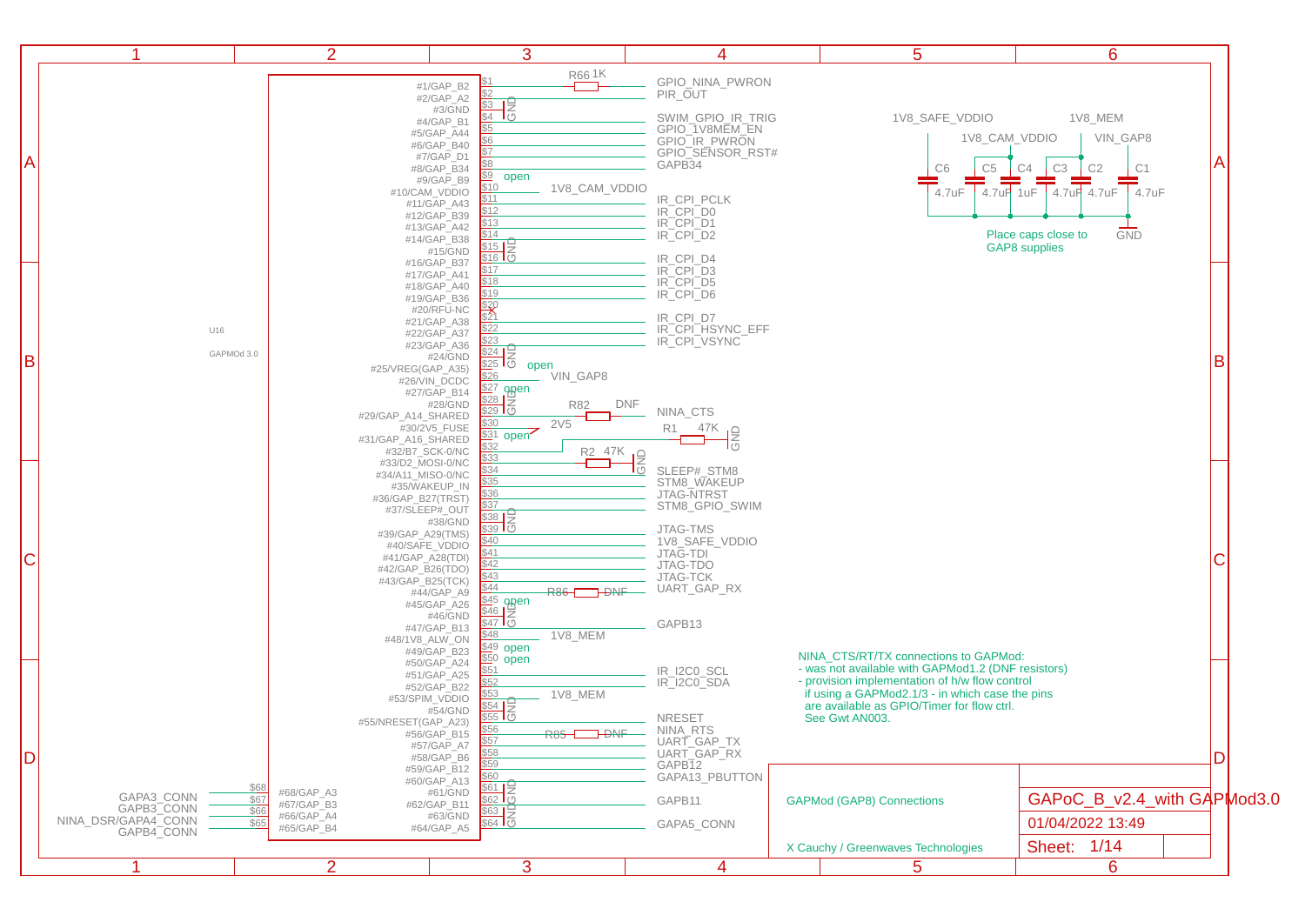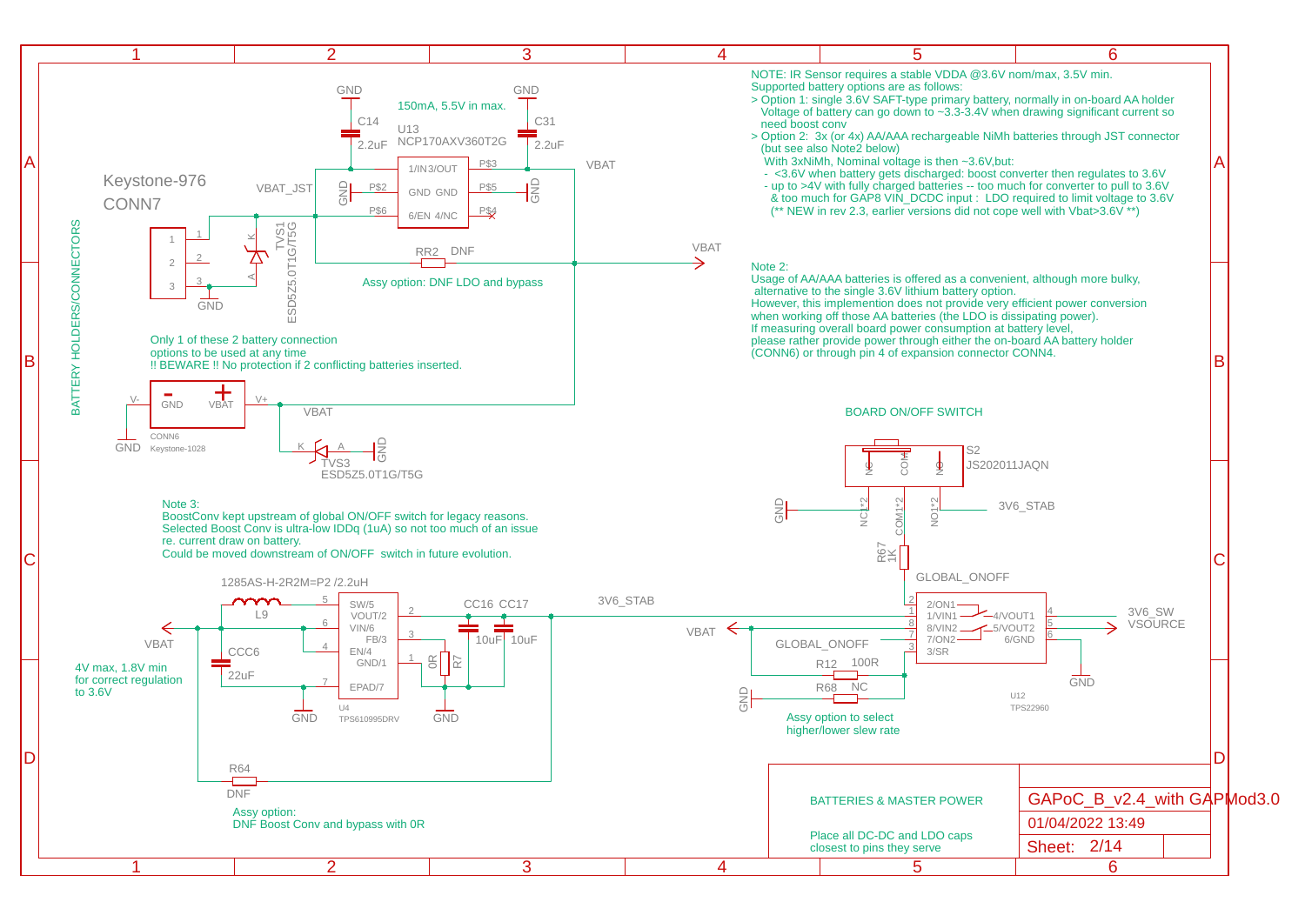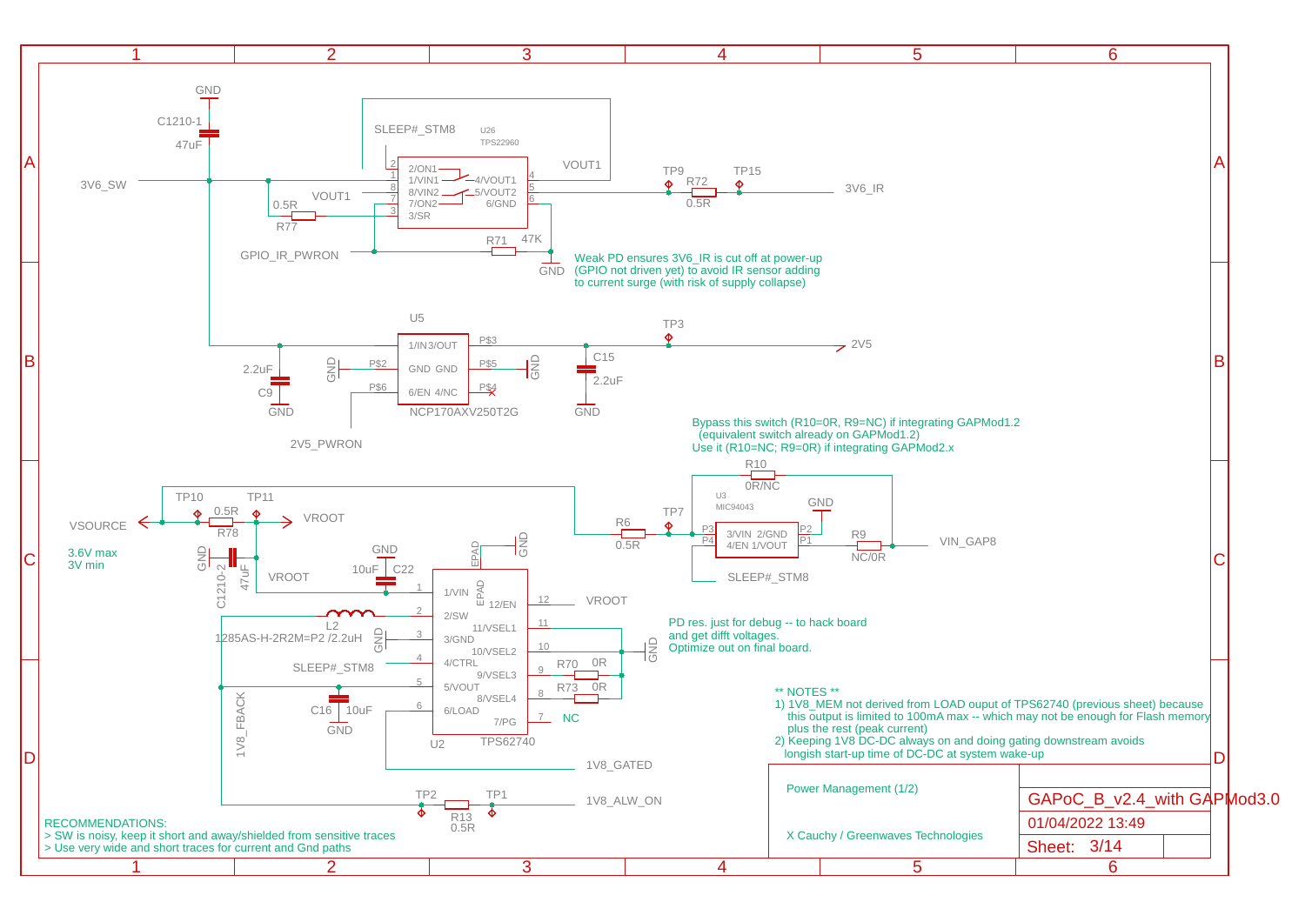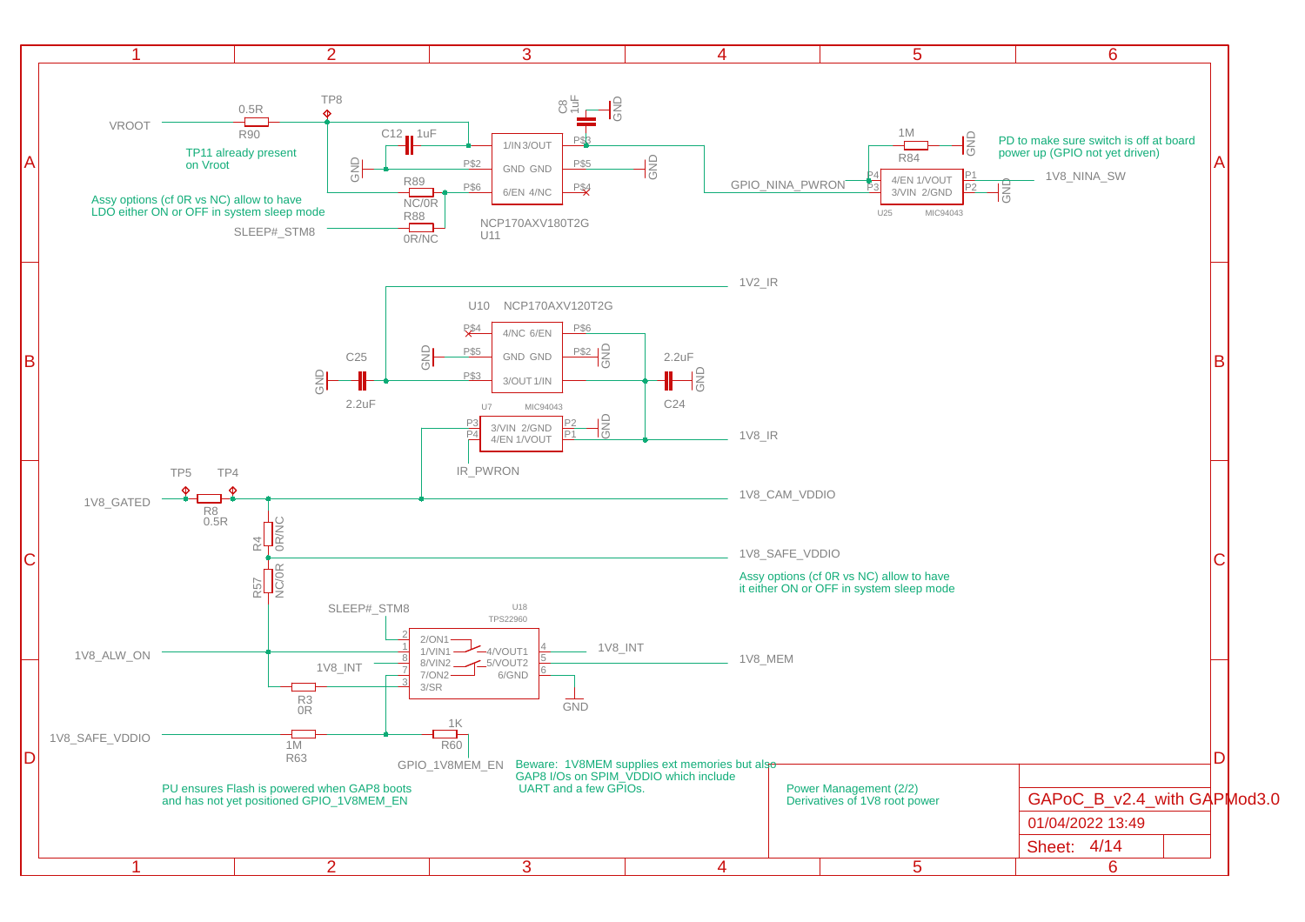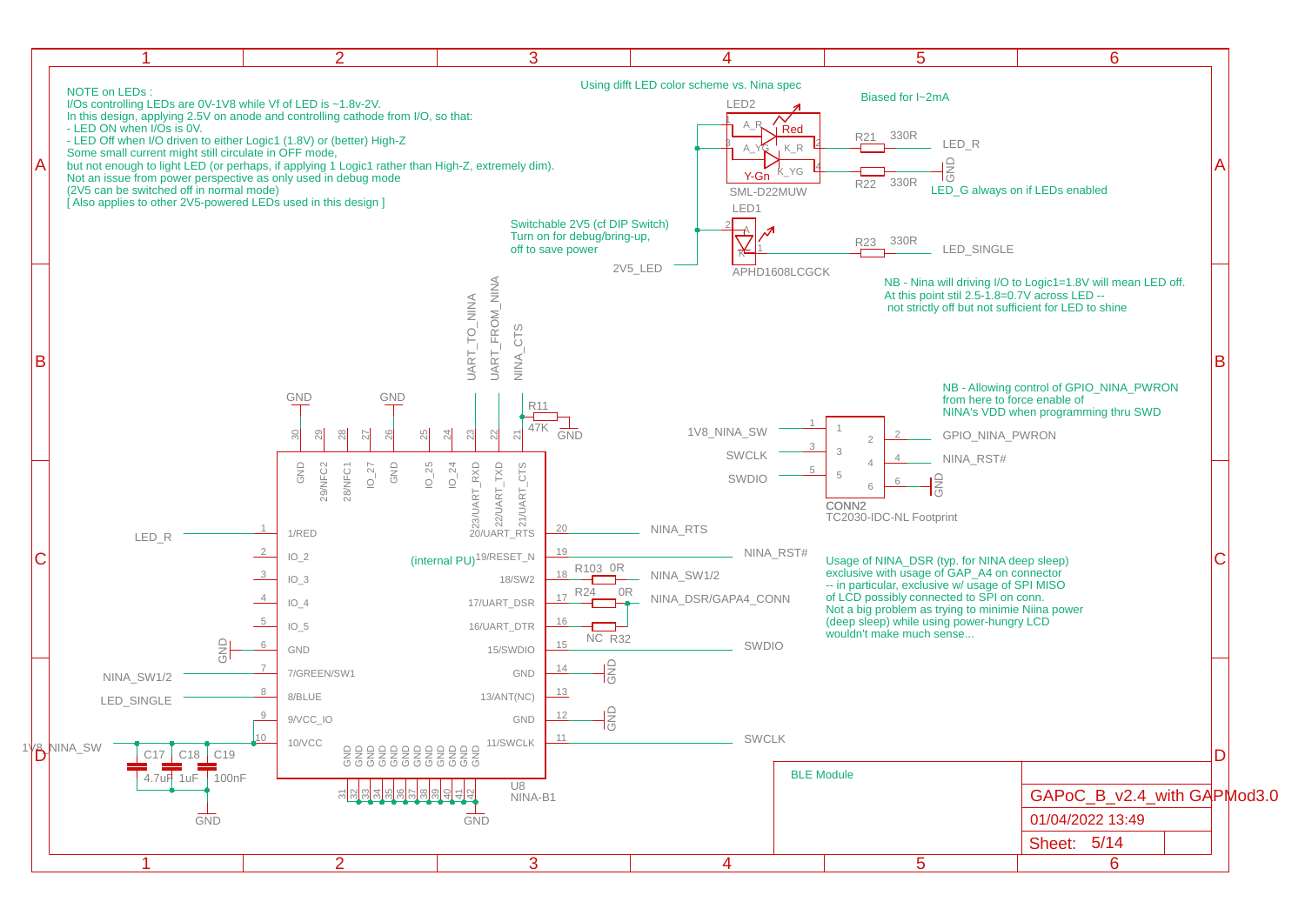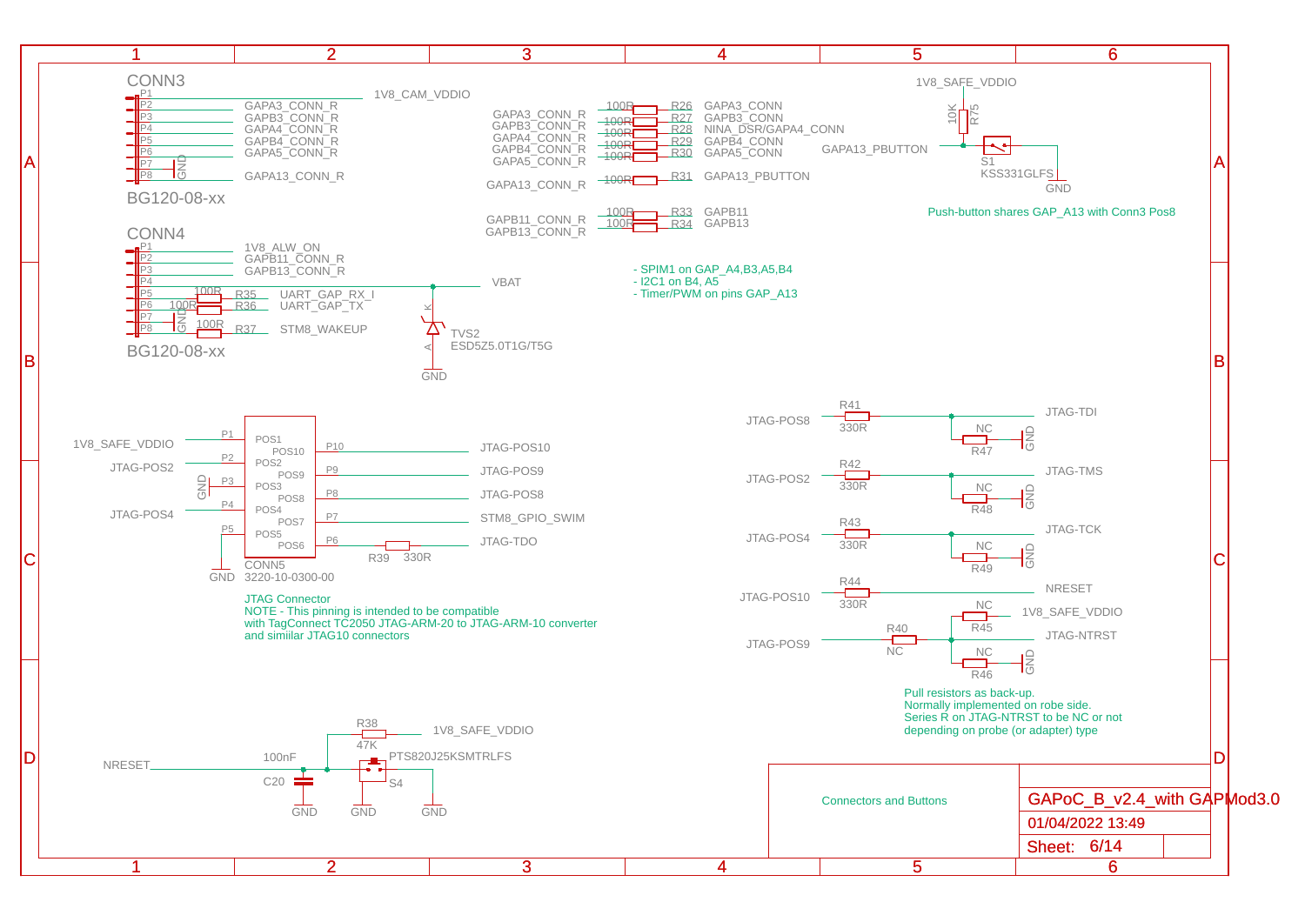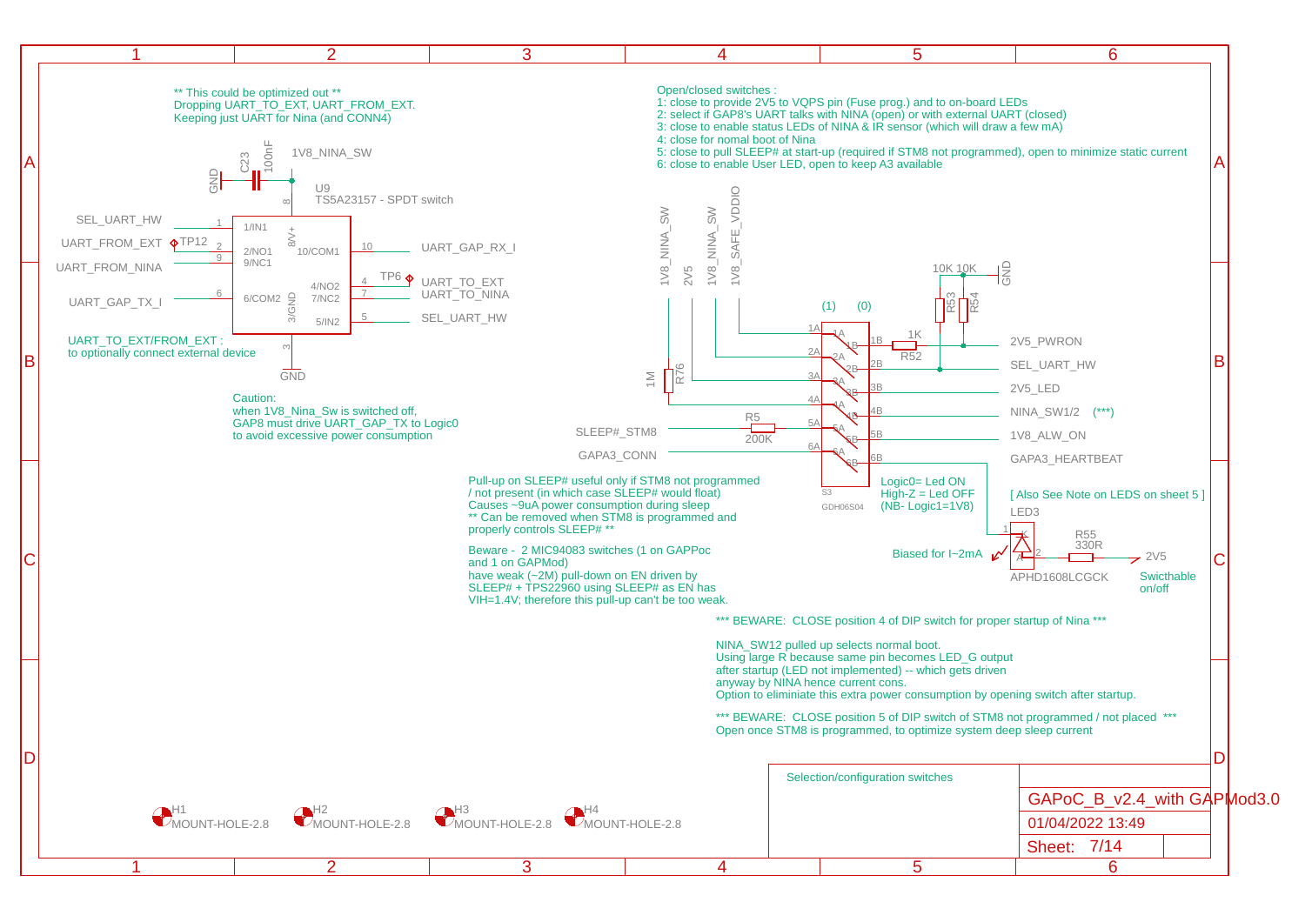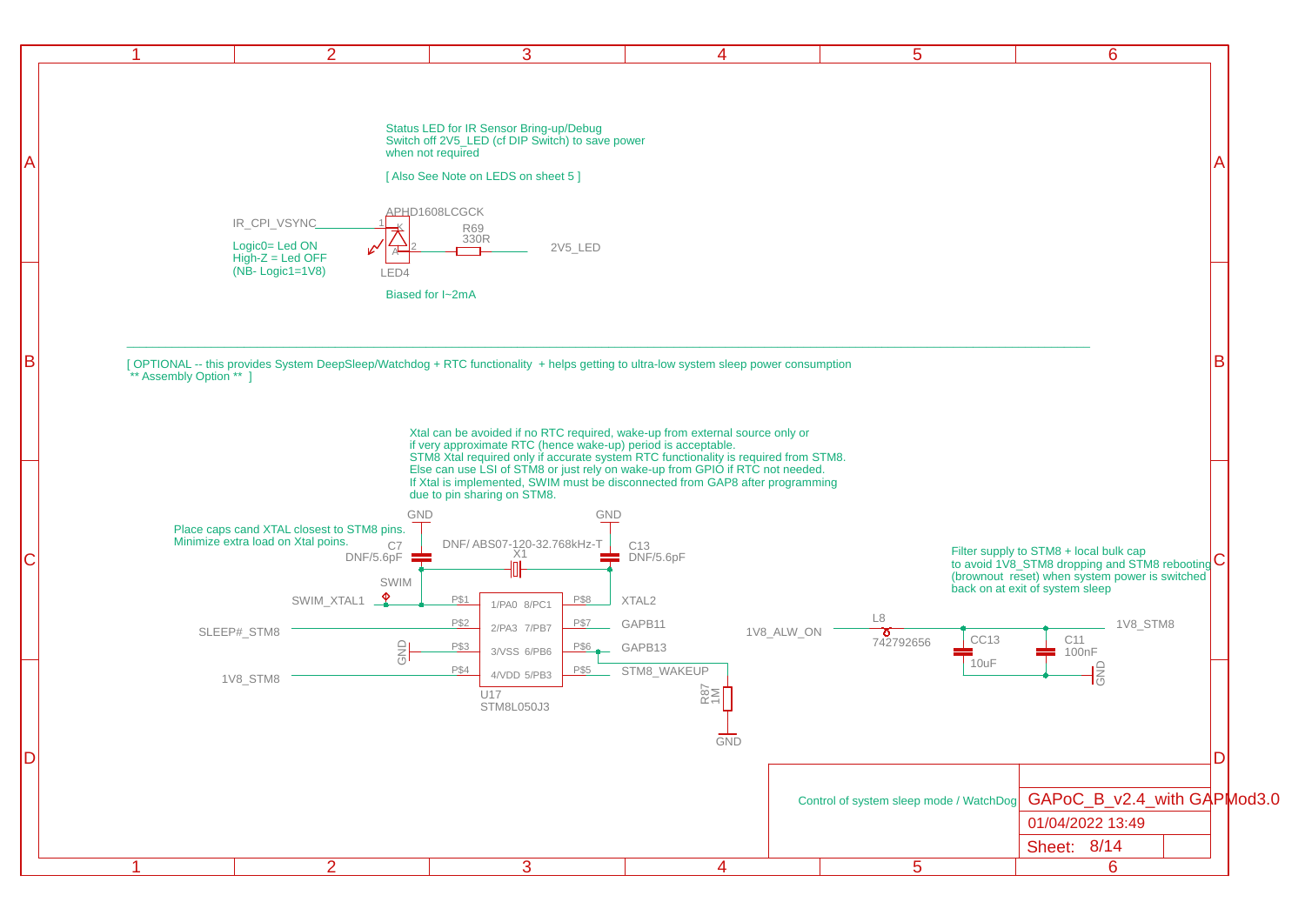|--|--|--|--|--|--|

 $\mathsf{A}$  and  $\mathsf{A}$ 

B **B** 

Status LED for IR Sensor Bring-up/Debug Switch off 2V5\_LED (cf DIP Switch) to save power when not required

[Also See Note on LEDS on sheet 5]



 $\mathsf{A}$ 

Biased for I~2mA

B GETIONAL -- this provides System DeepSleep/Watchdog + RTC functionality + helps getting to ultra-low system sleep power consumption \*\* Assembly Option \*\* 1

> Xtal can be avoided if no RTC required, wake-up from external source only or if very approximate RTC (hence wake-up) period is acceptable. STM8 Xtal required only if accurate system RTC functionality is required from STM8. Else can use LSI of STM8 or just rely on wake-up from GPIO if RTC not needed. If Xtal is implemented, SWIM must be disconnected from GAP8 after programming due to pin sharing on STM8.

\_\_\_\_\_\_\_\_\_\_\_\_\_\_\_\_\_\_\_\_\_\_\_\_\_\_\_\_\_\_\_\_\_\_\_\_\_\_\_\_\_\_\_\_\_\_\_\_\_\_\_\_\_\_\_\_\_\_\_\_\_\_\_\_\_\_\_\_\_\_\_\_\_\_\_\_\_\_\_\_\_\_\_\_\_\_\_\_\_\_\_\_\_\_\_\_\_\_\_\_\_\_\_\_\_\_\_\_\_\_\_\_\_\_\_\_\_\_\_\_\_\_\_\_\_\_\_\_\_\_\_\_\_\_\_\_\_\_\_\_\_\_\_\_\_\_\_\_

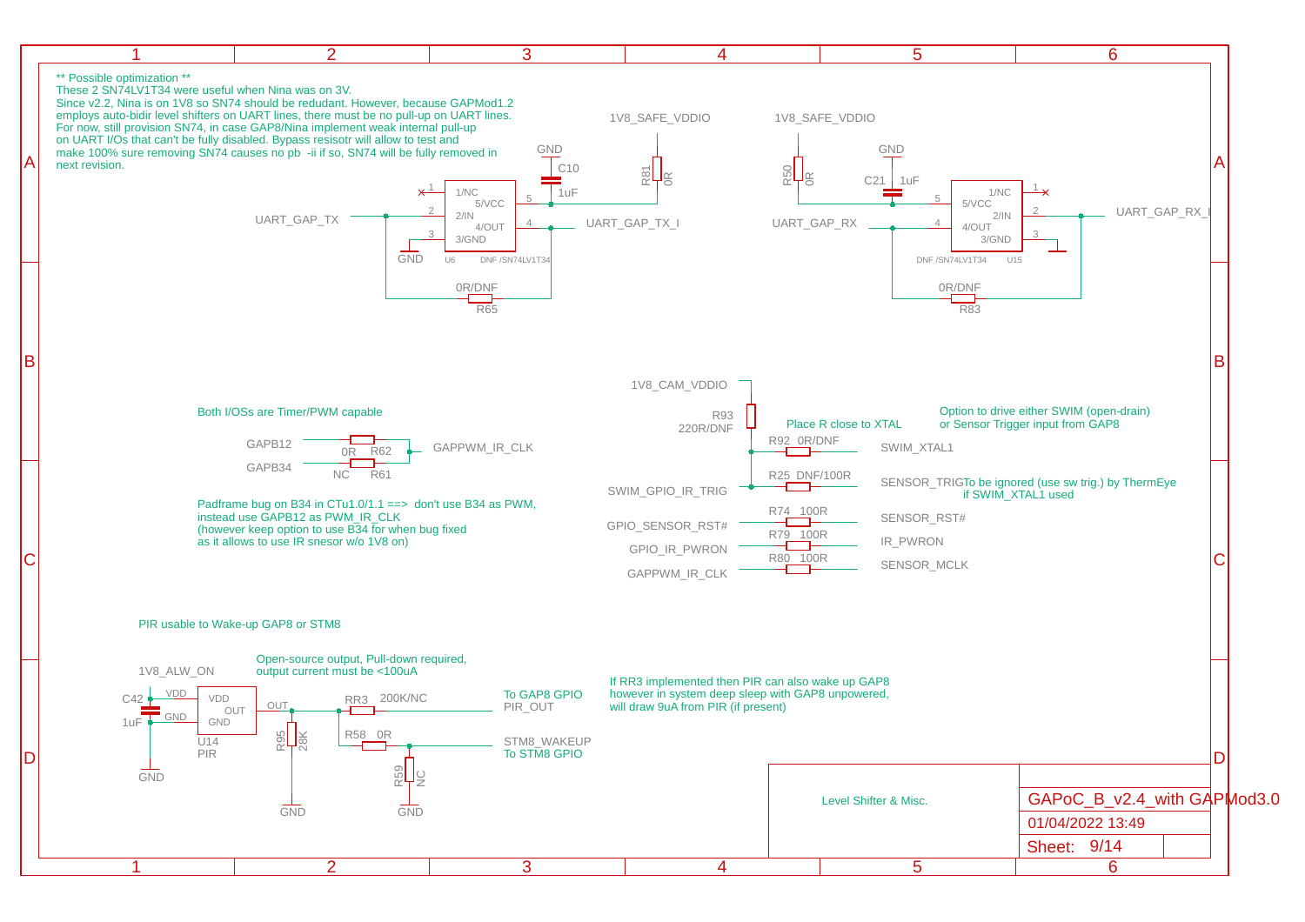|--|

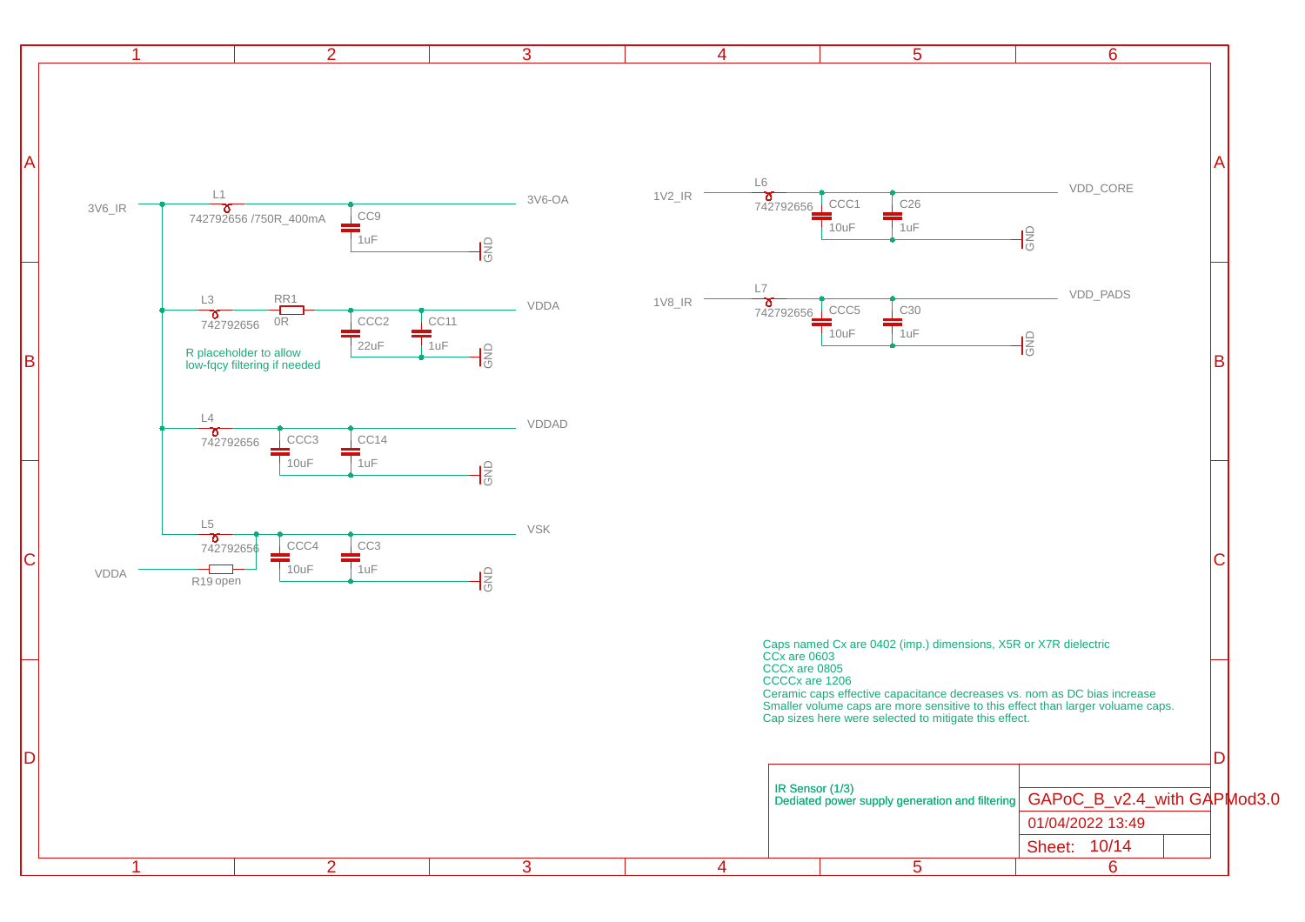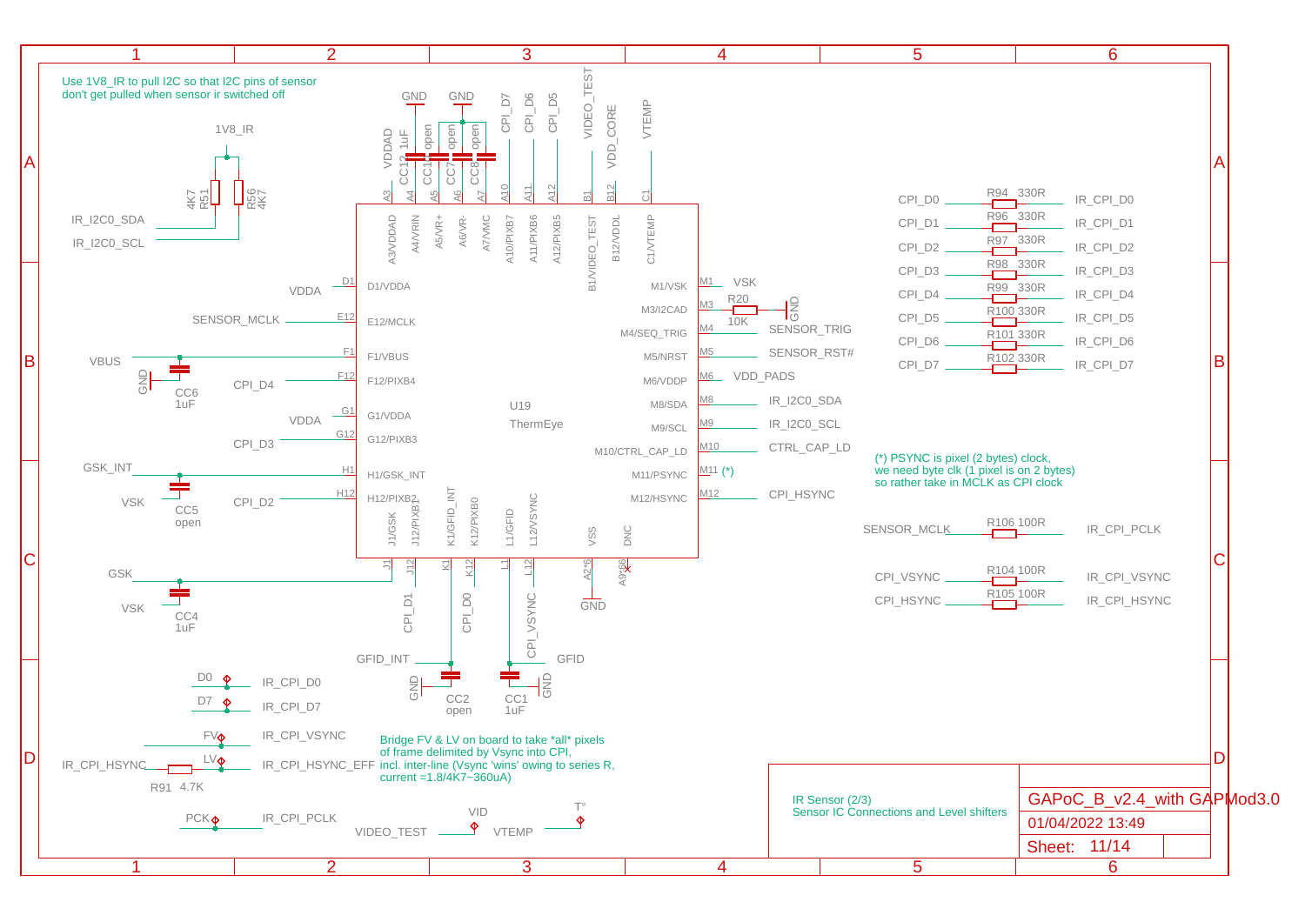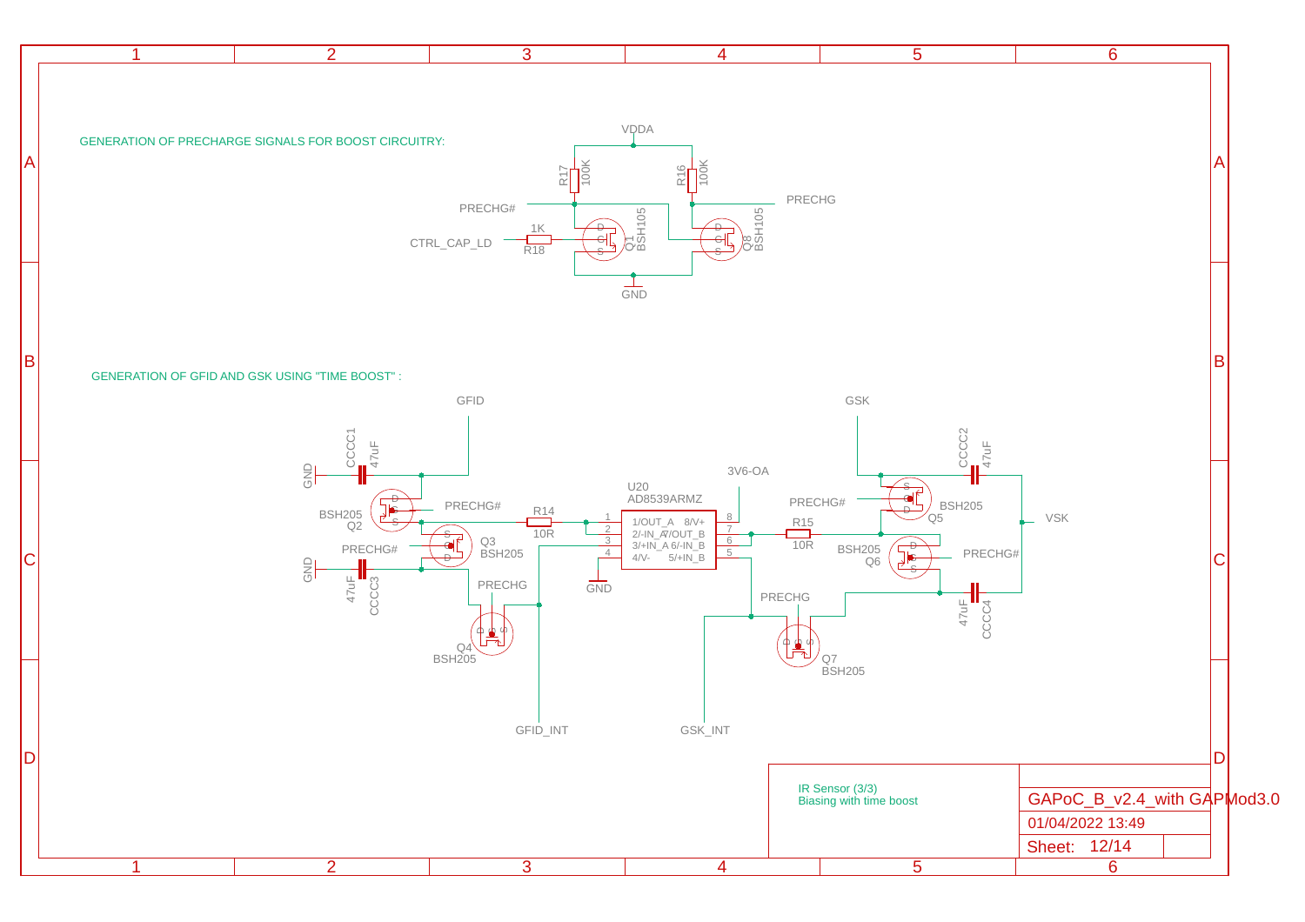|    | 2 <sup>1</sup><br>$\mathbf{1}$                                                      | 3                                                                                                                                                    | $\overline{4}$                                                                                                                  | $\overline{5}$                                                                                                   | $6\overline{6}$                                                 |           |
|----|-------------------------------------------------------------------------------------|------------------------------------------------------------------------------------------------------------------------------------------------------|---------------------------------------------------------------------------------------------------------------------------------|------------------------------------------------------------------------------------------------------------------|-----------------------------------------------------------------|-----------|
| IА | GENERATION OF PRECHARGE SIGNALS FOR BOOST CIRCUITRY:                                | R1<br>PRECHG#<br>$\frac{1K}{R18}$<br>—<br>еЦ<br>s<br>$\ensuremath{\mathsf{CTRL}\_}\xspace\ensuremath{\mathsf{CAP}\_}\xspace\ensuremath{\mathsf{LD}}$ | VQDA<br>$\frac{1}{2}$<br>PRECHG<br>$\frac{\partial T}{\partial S + 105}$<br>$\frac{1}{\sqrt{28}}$<br>$\frac{1}{\text{GND}}$     |                                                                                                                  |                                                                 | A         |
| B  | <b>GENERATION OF GFID AND GSK USING "TIME BOOST":</b>                               | GFID                                                                                                                                                 |                                                                                                                                 | GSK                                                                                                              |                                                                 | $\vert$ B |
|    | CCCC1<br>47uF<br>$\frac{\ominus}{\ominus}$                                          | PRECHG#                                                                                                                                              | $3V6-OA$<br>U20<br>AD8539ARMZ                                                                                                   | CCCC2<br>47uF<br>PRECHG#<br>,<br>O5<br>O5                                                                        | VSK                                                             |           |
|    | <b>BSH205</b><br>Q2<br>PRECHG#<br>$\frac{\text{CD}}{\text{CD}}$<br>$47 \mu F$ CCCC3 | $\frac{R14}{10R}$<br>$\overline{2}$<br>$\frac{3}{4}$<br>٦É<br>Q3<br>BSH205<br>$\frac{1}{\text{GND}}$<br>PRECHG                                       | 1/OUT_A 8/V+<br>2/-IN_ <i>R</i> /OUT_B<br>3/+IN_A 6/-IN_B<br>4/V- 5/+IN_B<br>$\frac{R15}{10R}$<br>$\overline{7}$<br>5<br>PRECHG | <b>BSH205</b><br>Q6<br>PRECHG#<br>$\begin{array}{c}\n 47 \text{U} \bar{F} \\ \text{CCC} \text{C4}\n \end{array}$ |                                                                 | C         |
|    |                                                                                     | Q4\<br>BSH205                                                                                                                                        |                                                                                                                                 | Q7<br>BSH205                                                                                                     |                                                                 |           |
|    |                                                                                     | GFID_INT                                                                                                                                             | GSK_INT                                                                                                                         | IR Sensor (3/3)<br>Biasing with time boost                                                                       | GAPoC_B_v2.4_with GAPMod3.0<br>01/04/2022 13:49<br>Sheet: 12/14 | Dl        |
|    | 2 <sup>1</sup><br>$\mathbf 1$                                                       | $\overline{3}$                                                                                                                                       | $\overline{4}$                                                                                                                  | $\overline{5}$                                                                                                   | $\overline{6}$                                                  |           |